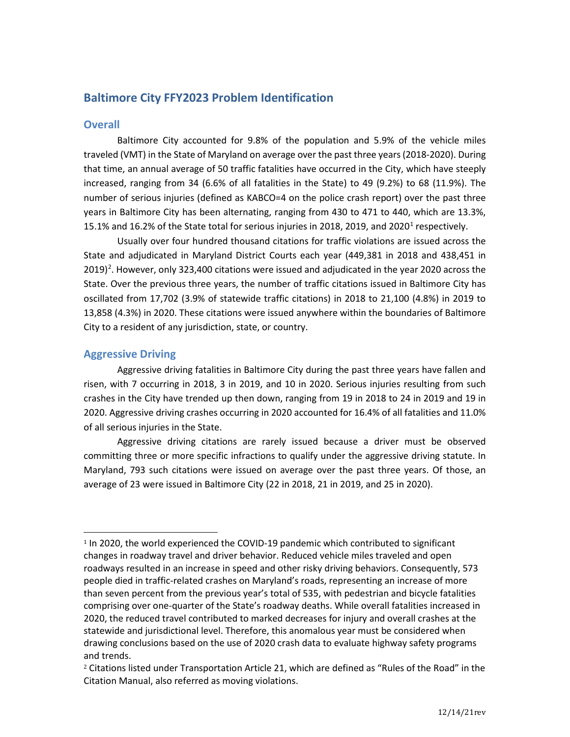# **Baltimore City FFY2023 Problem Identification**

### **Overall**

Baltimore City accounted for 9.8% of the population and 5.9% of the vehicle miles traveled (VMT) in the State of Maryland on average over the past three years (2018-2020). During that time, an annual average of 50 traffic fatalities have occurred in the City, which have steeply increased, ranging from 34 (6.6% of all fatalities in the State) to 49 (9.2%) to 68 (11.9%). The number of serious injuries (defined as KABCO=4 on the police crash report) over the past three years in Baltimore City has been alternating, ranging from 430 to 471 to 440, which are 13.3%, [1](#page-0-0)5.1% and 16.2% of the State total for serious injuries in 2018, 2019, and 2020<sup>1</sup> respectively.

Usually over four hundred thousand citations for traffic violations are issued across the State and adjudicated in Maryland District Courts each year (449,381 in 2018 and 438,451 in  $2019)$  $2019)$ <sup>2</sup>. However, only 323,400 citations were issued and adjudicated in the year 2020 across the State. Over the previous three years, the number of traffic citations issued in Baltimore City has oscillated from 17,702 (3.9% of statewide traffic citations) in 2018 to 21,100 (4.8%) in 2019 to 13,858 (4.3%) in 2020. These citations were issued anywhere within the boundaries of Baltimore City to a resident of any jurisdiction, state, or country.

## **Aggressive Driving**

Aggressive driving fatalities in Baltimore City during the past three years have fallen and risen, with 7 occurring in 2018, 3 in 2019, and 10 in 2020. Serious injuries resulting from such crashes in the City have trended up then down, ranging from 19 in 2018 to 24 in 2019 and 19 in 2020. Aggressive driving crashes occurring in 2020 accounted for 16.4% of all fatalities and 11.0% of all serious injuries in the State.

Aggressive driving citations are rarely issued because a driver must be observed committing three or more specific infractions to qualify under the aggressive driving statute. In Maryland, 793 such citations were issued on average over the past three years. Of those, an average of 23 were issued in Baltimore City (22 in 2018, 21 in 2019, and 25 in 2020).

<span id="page-0-0"></span><sup>1</sup> In 2020, the world experienced the COVID-19 pandemic which contributed to significant changes in roadway travel and driver behavior. Reduced vehicle miles traveled and open roadways resulted in an increase in speed and other risky driving behaviors. Consequently, 573 people died in traffic-related crashes on Maryland's roads, representing an increase of more than seven percent from the previous year's total of 535, with pedestrian and bicycle fatalities comprising over one-quarter of the State's roadway deaths. While overall fatalities increased in 2020, the reduced travel contributed to marked decreases for injury and overall crashes at the statewide and jurisdictional level. Therefore, this anomalous year must be considered when drawing conclusions based on the use of 2020 crash data to evaluate highway safety programs and trends.

<span id="page-0-1"></span><sup>2</sup> Citations listed under Transportation Article 21, which are defined as "Rules of the Road" in the Citation Manual, also referred as moving violations.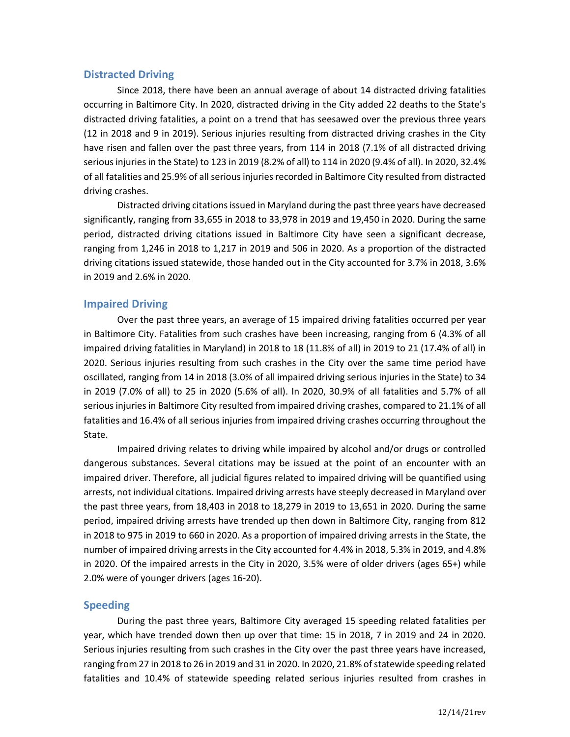### **Distracted Driving**

Since 2018, there have been an annual average of about 14 distracted driving fatalities occurring in Baltimore City. In 2020, distracted driving in the City added 22 deaths to the State's distracted driving fatalities, a point on a trend that has seesawed over the previous three years (12 in 2018 and 9 in 2019). Serious injuries resulting from distracted driving crashes in the City have risen and fallen over the past three years, from 114 in 2018 (7.1% of all distracted driving serious injuries in the State) to 123 in 2019 (8.2% of all) to 114 in 2020 (9.4% of all). In 2020, 32.4% of all fatalities and 25.9% of all serious injuries recorded in Baltimore City resulted from distracted driving crashes.

Distracted driving citations issued in Maryland during the past three years have decreased significantly, ranging from 33,655 in 2018 to 33,978 in 2019 and 19,450 in 2020. During the same period, distracted driving citations issued in Baltimore City have seen a significant decrease, ranging from 1,246 in 2018 to 1,217 in 2019 and 506 in 2020. As a proportion of the distracted driving citations issued statewide, those handed out in the City accounted for 3.7% in 2018, 3.6% in 2019 and 2.6% in 2020.

## **Impaired Driving**

Over the past three years, an average of 15 impaired driving fatalities occurred per year in Baltimore City. Fatalities from such crashes have been increasing, ranging from 6 (4.3% of all impaired driving fatalities in Maryland) in 2018 to 18 (11.8% of all) in 2019 to 21 (17.4% of all) in 2020. Serious injuries resulting from such crashes in the City over the same time period have oscillated, ranging from 14 in 2018 (3.0% of all impaired driving serious injuries in the State) to 34 in 2019 (7.0% of all) to 25 in 2020 (5.6% of all). In 2020, 30.9% of all fatalities and 5.7% of all serious injuries in Baltimore City resulted from impaired driving crashes, compared to 21.1% of all fatalities and 16.4% of all serious injuries from impaired driving crashes occurring throughout the State.

Impaired driving relates to driving while impaired by alcohol and/or drugs or controlled dangerous substances. Several citations may be issued at the point of an encounter with an impaired driver. Therefore, all judicial figures related to impaired driving will be quantified using arrests, not individual citations. Impaired driving arrests have steeply decreased in Maryland over the past three years, from 18,403 in 2018 to 18,279 in 2019 to 13,651 in 2020. During the same period, impaired driving arrests have trended up then down in Baltimore City, ranging from 812 in 2018 to 975 in 2019 to 660 in 2020. As a proportion of impaired driving arrests in the State, the number of impaired driving arrests in the City accounted for 4.4% in 2018, 5.3% in 2019, and 4.8% in 2020. Of the impaired arrests in the City in 2020, 3.5% were of older drivers (ages 65+) while 2.0% were of younger drivers (ages 16-20).

## **Speeding**

During the past three years, Baltimore City averaged 15 speeding related fatalities per year, which have trended down then up over that time: 15 in 2018, 7 in 2019 and 24 in 2020. Serious injuries resulting from such crashes in the City over the past three years have increased, ranging from 27 in 2018 to 26 in 2019 and 31 in 2020. In 2020, 21.8% of statewide speeding related fatalities and 10.4% of statewide speeding related serious injuries resulted from crashes in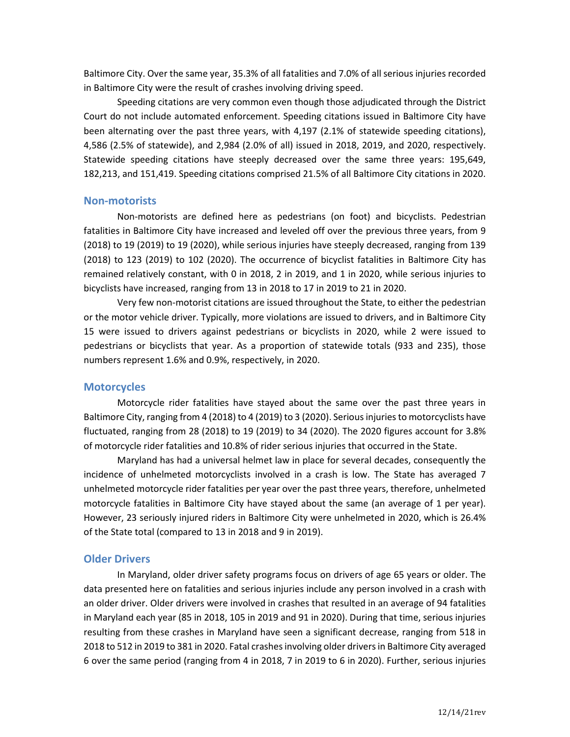Baltimore City. Over the same year, 35.3% of all fatalities and 7.0% of all serious injuries recorded in Baltimore City were the result of crashes involving driving speed.

Speeding citations are very common even though those adjudicated through the District Court do not include automated enforcement. Speeding citations issued in Baltimore City have been alternating over the past three years, with 4,197 (2.1% of statewide speeding citations), 4,586 (2.5% of statewide), and 2,984 (2.0% of all) issued in 2018, 2019, and 2020, respectively. Statewide speeding citations have steeply decreased over the same three years: 195,649, 182,213, and 151,419. Speeding citations comprised 21.5% of all Baltimore City citations in 2020.

#### **Non-motorists**

Non-motorists are defined here as pedestrians (on foot) and bicyclists. Pedestrian fatalities in Baltimore City have increased and leveled off over the previous three years, from 9 (2018) to 19 (2019) to 19 (2020), while serious injuries have steeply decreased, ranging from 139 (2018) to 123 (2019) to 102 (2020). The occurrence of bicyclist fatalities in Baltimore City has remained relatively constant, with 0 in 2018, 2 in 2019, and 1 in 2020, while serious injuries to bicyclists have increased, ranging from 13 in 2018 to 17 in 2019 to 21 in 2020.

Very few non-motorist citations are issued throughout the State, to either the pedestrian or the motor vehicle driver. Typically, more violations are issued to drivers, and in Baltimore City 15 were issued to drivers against pedestrians or bicyclists in 2020, while 2 were issued to pedestrians or bicyclists that year. As a proportion of statewide totals (933 and 235), those numbers represent 1.6% and 0.9%, respectively, in 2020.

#### **Motorcycles**

Motorcycle rider fatalities have stayed about the same over the past three years in Baltimore City, ranging from 4 (2018) to 4 (2019) to 3 (2020). Serious injuries to motorcyclists have fluctuated, ranging from 28 (2018) to 19 (2019) to 34 (2020). The 2020 figures account for 3.8% of motorcycle rider fatalities and 10.8% of rider serious injuries that occurred in the State.

Maryland has had a universal helmet law in place for several decades, consequently the incidence of unhelmeted motorcyclists involved in a crash is low. The State has averaged 7 unhelmeted motorcycle rider fatalities per year over the past three years, therefore, unhelmeted motorcycle fatalities in Baltimore City have stayed about the same (an average of 1 per year). However, 23 seriously injured riders in Baltimore City were unhelmeted in 2020, which is 26.4% of the State total (compared to 13 in 2018 and 9 in 2019).

#### **Older Drivers**

In Maryland, older driver safety programs focus on drivers of age 65 years or older. The data presented here on fatalities and serious injuries include any person involved in a crash with an older driver. Older drivers were involved in crashes that resulted in an average of 94 fatalities in Maryland each year (85 in 2018, 105 in 2019 and 91 in 2020). During that time, serious injuries resulting from these crashes in Maryland have seen a significant decrease, ranging from 518 in 2018 to 512 in 2019 to 381 in 2020. Fatal crashes involving older drivers in Baltimore City averaged 6 over the same period (ranging from 4 in 2018, 7 in 2019 to 6 in 2020). Further, serious injuries